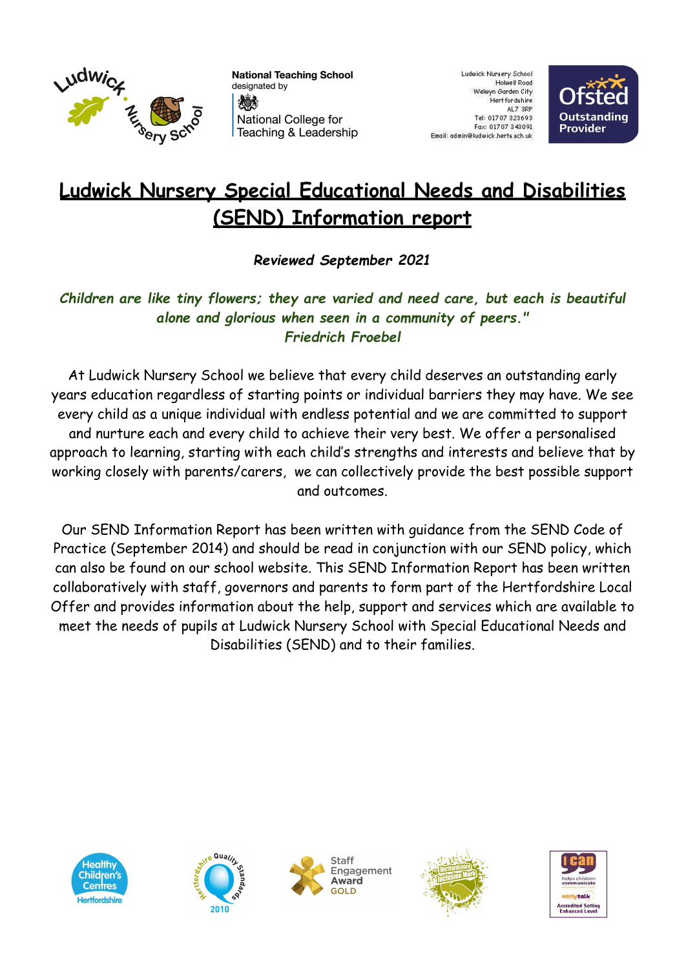

**National Teaching School** designated by 嫐 National College for Teaching & Leadership

Ludwick Nursery School Holwell Road Welwyn Garden City Hert for dshire AL7 3RF Tel: 01707 323693<br>Fax: 01707 343091 Email: admin@ludwick.herts.sch.uk



# **Ludwick Nursery Special Educational Needs and Disabilities (SEND) Information report**

*Reviewed September 2021*

# *Children are like tiny flowers; they are varied and need care, but each is beautiful alone and glorious when seen in a community of peers." Friedrich Froebel*

At Ludwick Nursery School we believe that every child deserves an outstanding early years education regardless of starting points or individual barriers they may have. We see every child as a unique individual with endless potential and we are committed to support and nurture each and every child to achieve their very best. We offer a personalised approach to learning, starting with each child's strengths and interests and believe that by working closely with parents/carers, we can collectively provide the best possible support and outcomes.

Our SEND Information Report has been written with guidance from the SEND Code of Practice (September 2014) and should be read in conjunction with our SEND policy, which can also be found on our school website. This SEND Information Report has been written collaboratively with staff, governors and parents to form part of the Hertfordshire Local Offer and provides information about the help, support and services which are available to meet the needs of pupils at Ludwick Nursery School with Special Educational Needs and Disabilities (SEND) and to their families.









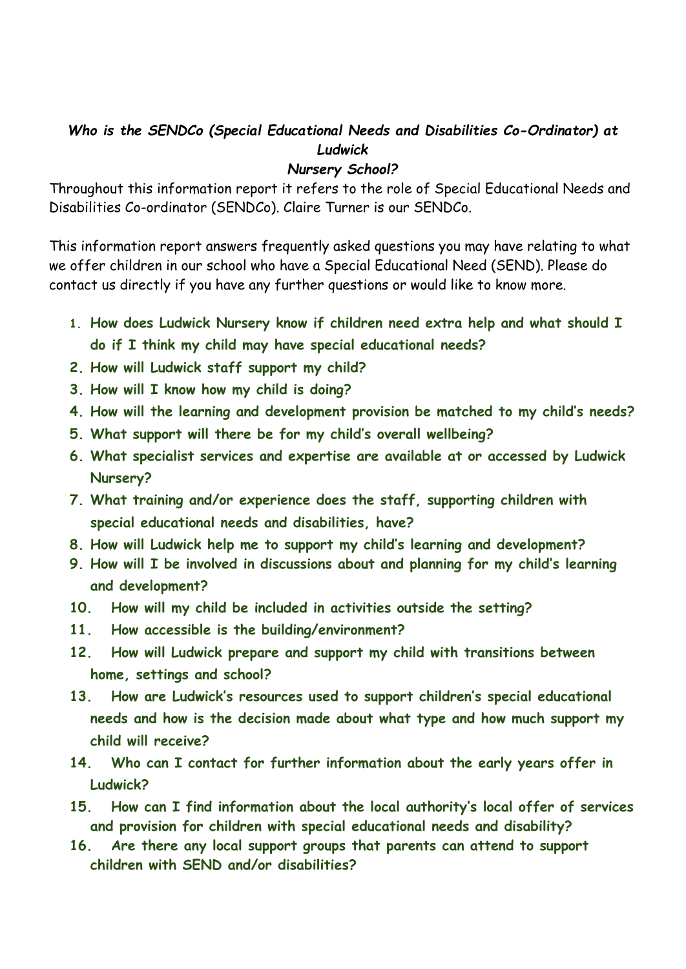# *Who is the SENDCo (Special Educational Needs and Disabilities Co-Ordinator) at Ludwick*

#### *Nursery School?*

Throughout this information report it refers to the role of Special Educational Needs and Disabilities Co-ordinator (SENDCo). Claire Turner is our SENDCo.

This information report answers frequently asked questions you may have relating to what we offer children in our school who have a Special Educational Need (SEND). Please do contact us directly if you have any further questions or would like to know more.

- **1. How does Ludwick Nursery know if children need extra help and what should I do if I think my child may have special educational needs?**
- **2. How will Ludwick staff support my child?**
- **3. How will I know how my child is doing?**
- **4. How will the learning and development provision be matched to my child's needs?**
- **5. What support will there be for my child's overall wellbeing?**
- **6. What specialist services and expertise are available at or accessed by Ludwick Nursery?**
- **7. What training and/or experience does the staff, supporting children with special educational needs and disabilities, have?**
- **8. How will Ludwick help me to support my child's learning and development?**
- **9. How will I be involved in discussions about and planning for my child's learning and development?**
- **10. How will my child be included in activities outside the setting?**
- **11. How accessible is the building/environment?**
- **12. How will Ludwick prepare and support my child with transitions between home, settings and school?**
- **13. How are Ludwick's resources used to support children's special educational needs and how is the decision made about what type and how much support my child will receive?**
- **14. Who can I contact for further information about the early years offer in Ludwick?**
- **15. How can I find information about the local authority's local offer of services and provision for children with special educational needs and disability?**
- **16. Are there any local support groups that parents can attend to support children with SEND and/or disabilities?**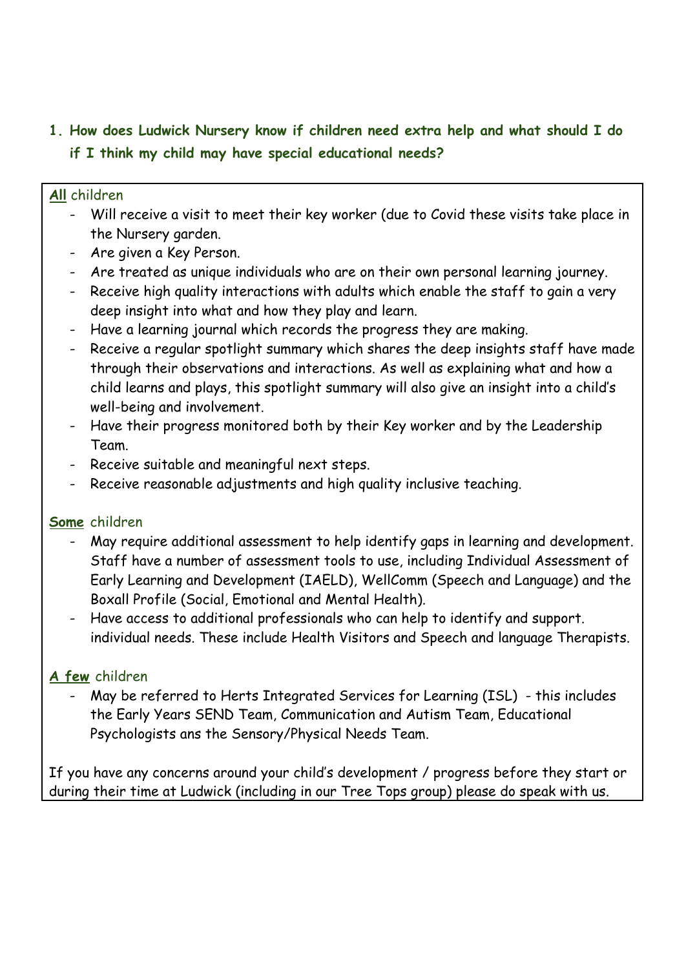# **1. How does Ludwick Nursery know if children need extra help and what should I do if I think my child may have special educational needs?**

#### **All** children

- Will receive a visit to meet their key worker (due to Covid these visits take place in the Nursery garden.
- Are given a Key Person.
- Are treated as unique individuals who are on their own personal learning journey.
- Receive high quality interactions with adults which enable the staff to gain a very deep insight into what and how they play and learn.
- Have a learning journal which records the progress they are making.
- Receive a regular spotlight summary which shares the deep insights staff have made through their observations and interactions. As well as explaining what and how a child learns and plays, this spotlight summary will also give an insight into a child's well-being and involvement.
- Have their progress monitored both by their Key worker and by the Leadership Team.
- Receive suitable and meaningful next steps.
- Receive reasonable adjustments and high quality inclusive teaching.

### **Some** children

- May require additional assessment to help identify gaps in learning and development. Staff have a number of assessment tools to use, including Individual Assessment of Early Learning and Development (IAELD), WellComm (Speech and Language) and the Boxall Profile (Social, Emotional and Mental Health).
- Have access to additional professionals who can help to identify and support. individual needs. These include Health Visitors and Speech and language Therapists.

# **A few** children

May be referred to Herts Integrated Services for Learning (ISL) - this includes the Early Years SEND Team, Communication and Autism Team, Educational Psychologists ans the Sensory/Physical Needs Team.

If you have any concerns around your child's development / progress before they start or during their time at Ludwick (including in our Tree Tops group) please do speak with us.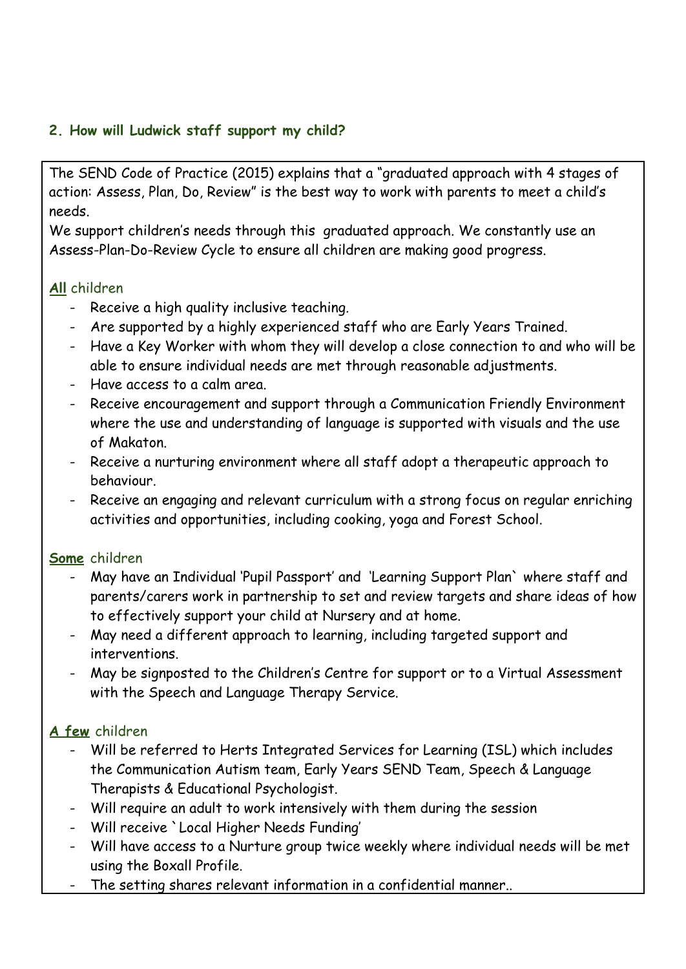## **2. How will Ludwick staff support my child?**

The SEND Code of Practice (2015) explains that a "graduated approach with 4 stages of action: Assess, Plan, Do, Review" is the best way to work with parents to meet a child's needs.

We support children's needs through this graduated approach. We constantly use an Assess-Plan-Do-Review Cycle to ensure all children are making good progress.

## **All** children

- Receive a high quality inclusive teaching.
- Are supported by a highly experienced staff who are Early Years Trained.
- Have a Key Worker with whom they will develop a close connection to and who will be able to ensure individual needs are met through reasonable adjustments.
- Have access to a calm area.
- Receive encouragement and support through a Communication Friendly Environment where the use and understanding of language is supported with visuals and the use of Makaton.
- Receive a nurturing environment where all staff adopt a therapeutic approach to behaviour.
- Receive an engaging and relevant curriculum with a strong focus on regular enriching activities and opportunities, including cooking, yoga and Forest School.

### **Some** children

- May have an Individual 'Pupil Passport' and 'Learning Support Plan` where staff and parents/carers work in partnership to set and review targets and share ideas of how to effectively support your child at Nursery and at home.
- May need a different approach to learning, including targeted support and interventions.
- May be signposted to the Children's Centre for support or to a Virtual Assessment with the Speech and Language Therapy Service.

- Will be referred to Herts Integrated Services for Learning (ISL) which includes the Communication Autism team, Early Years SEND Team, Speech & Language Therapists & Educational Psychologist.
- Will require an adult to work intensively with them during the session
- Will receive `Local Higher Needs Funding'
- Will have access to a Nurture group twice weekly where individual needs will be met using the Boxall Profile.
- The setting shares relevant information in a confidential manner..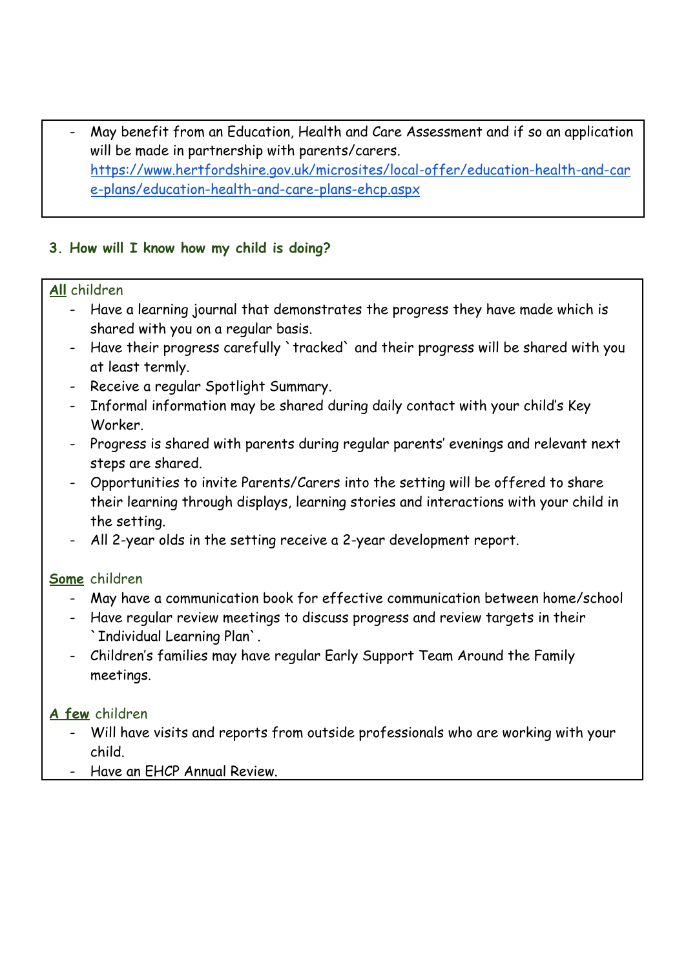- May benefit from an Education, Health and Care Assessment and if so an application will be made in partnership with parents/carers. [https://www.hertfordshire.gov.uk/microsites/local-offer/education-health-and-car](https://www.hertfordshire.gov.uk/microsites/local-offer/education-health-and-care-plans/education-health-and-care-plans-ehcp.aspx) [e-plans/education-health-and-care-plans-ehcp.aspx](https://www.hertfordshire.gov.uk/microsites/local-offer/education-health-and-care-plans/education-health-and-care-plans-ehcp.aspx)

## **3. How will I know how my child is doing?**

### **All** children

- Have a learning journal that demonstrates the progress they have made which is shared with you on a regular basis.
- Have their progress carefully `tracked` and their progress will be shared with you at least termly.
- Receive a regular Spotlight Summary.
- Informal information may be shared during daily contact with your child's Key Worker.
- Progress is shared with parents during regular parents' evenings and relevant next steps are shared.
- Opportunities to invite Parents/Carers into the setting will be offered to share their learning through displays, learning stories and interactions with your child in the setting.
- All 2-year olds in the setting receive a 2-year development report.

# **Some** children

- May have a communication book for effective communication between home/school
- Have regular review meetings to discuss progress and review targets in their `Individual Learning Plan`.
- Children's families may have regular Early Support Team Around the Family meetings.

- Will have visits and reports from outside professionals who are working with your child.
- Have an EHCP Annual Review.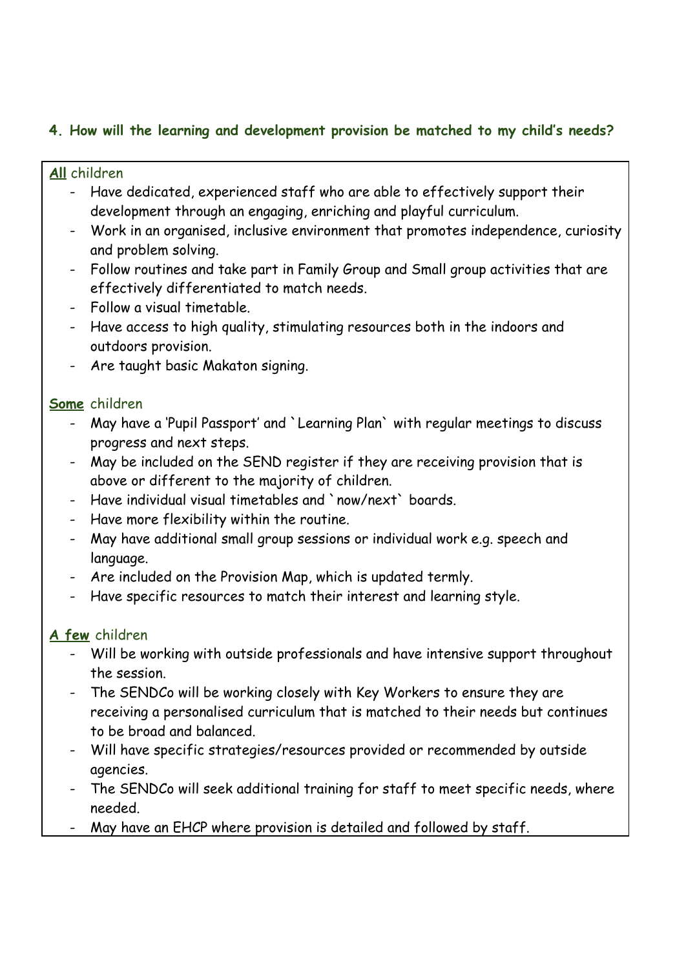# **4. How will the learning and development provision be matched to my child's needs?**

#### **All** children

- Have dedicated, experienced staff who are able to effectively support their development through an engaging, enriching and playful curriculum.
- Work in an organised, inclusive environment that promotes independence, curiosity and problem solving.
- Follow routines and take part in Family Group and Small group activities that are effectively differentiated to match needs.
- Follow a visual timetable.
- Have access to high quality, stimulating resources both in the indoors and outdoors provision.
- Are taught basic Makaton signing.

### **Some** children

- May have a 'Pupil Passport' and `Learning Plan` with regular meetings to discuss progress and next steps.
- May be included on the SEND register if they are receiving provision that is above or different to the majority of children.
- Have individual visual timetables and `now/next` boards.
- Have more flexibility within the routine.
- May have additional small group sessions or individual work e.g. speech and language.
- Are included on the Provision Map, which is updated termly.
- Have specific resources to match their interest and learning style.

- Will be working with outside professionals and have intensive support throughout the session.
- The SENDCo will be working closely with Key Workers to ensure they are receiving a personalised curriculum that is matched to their needs but continues to be broad and balanced.
- Will have specific strategies/resources provided or recommended by outside agencies.
- The SENDCo will seek additional training for staff to meet specific needs, where needed.
- May have an EHCP where provision is detailed and followed by staff.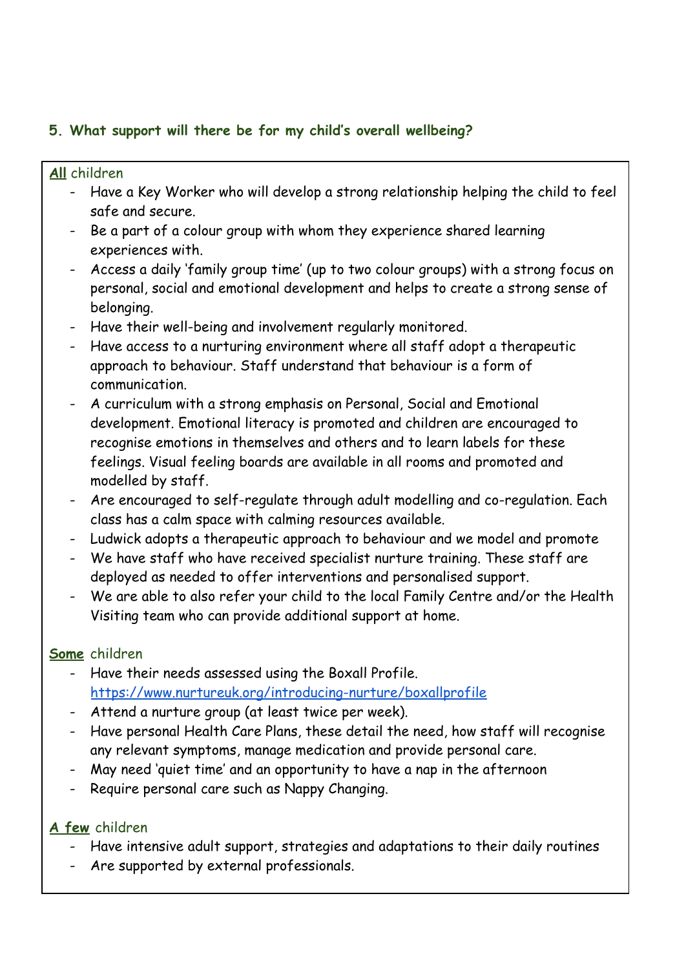# **5. What support will there be for my child's overall wellbeing?**

#### **All** children

- Have a Key Worker who will develop a strong relationship helping the child to feel safe and secure.
- Be a part of a colour group with whom they experience shared learning experiences with.
- Access a daily 'family group time' (up to two colour groups) with a strong focus on personal, social and emotional development and helps to create a strong sense of belonging.
- Have their well-being and involvement regularly monitored.
- Have access to a nurturing environment where all staff adopt a therapeutic approach to behaviour. Staff understand that behaviour is a form of communication.
- A curriculum with a strong emphasis on Personal, Social and Emotional development. Emotional literacy is promoted and children are encouraged to recognise emotions in themselves and others and to learn labels for these feelings. Visual feeling boards are available in all rooms and promoted and modelled by staff.
- Are encouraged to self-regulate through adult modelling and co-regulation. Each class has a calm space with calming resources available.
- Ludwick adopts a therapeutic approach to behaviour and we model and promote
- We have staff who have received specialist nurture training. These staff are deployed as needed to offer interventions and personalised support.
- We are able to also refer your child to the local Family Centre and/or the Health Visiting team who can provide additional support at home.

### **Some** children

- Have their needs assessed using the Boxall Profile. <https://www.nurtureuk.org/introducing-nurture/boxallprofile>
- Attend a nurture group (at least twice per week).
- Have personal Health Care Plans, these detail the need, how staff will recognise any relevant symptoms, manage medication and provide personal care.
- May need 'quiet time' and an opportunity to have a nap in the afternoon
- Require personal care such as Nappy Changing.

- Have intensive adult support, strategies and adaptations to their daily routines
- Are supported by external professionals.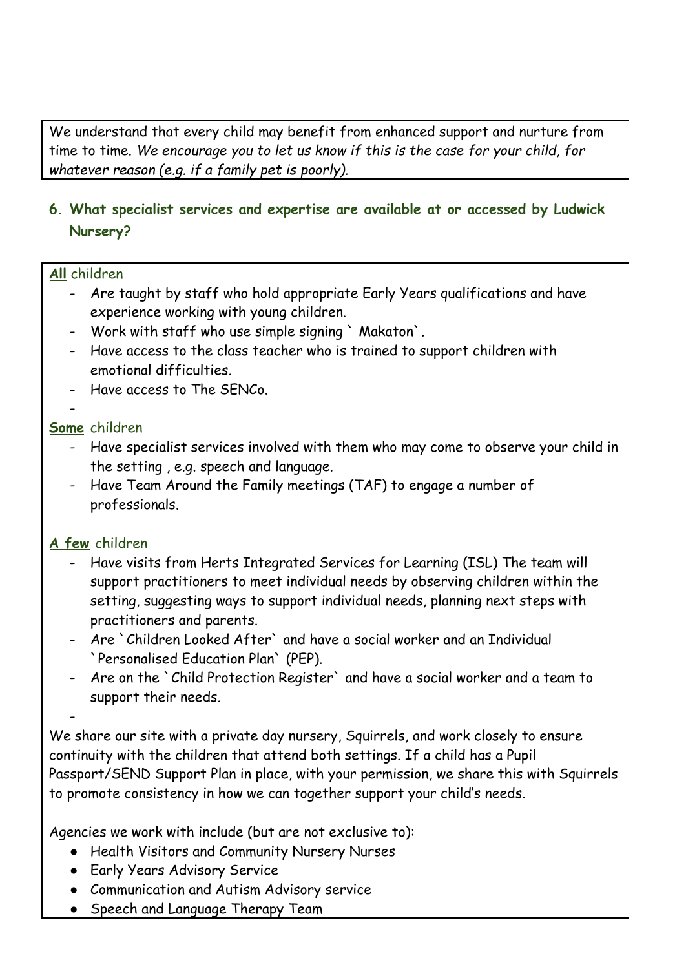We understand that every child may benefit from enhanced support and nurture from time to time. *We encourage you to let us know if this is the case for your child, for whatever reason (e.g. if a family pet is poorly).*

# **6. What specialist services and expertise are available at or accessed by Ludwick Nursery?**

## **All** children

- Are taught by staff who hold appropriate Early Years qualifications and have experience working with young children.
- Work with staff who use simple signing ` Makaton`.
- Have access to the class teacher who is trained to support children with emotional difficulties.
- Have access to The SENCo.

#### - **Some** children

- Have specialist services involved with them who may come to observe your child in the setting , e.g. speech and language.
- Have Team Around the Family meetings (TAF) to engage a number of professionals.

# **A few** children

- Have visits from Herts Integrated Services for Learning (ISL) The team will support practitioners to meet individual needs by observing children within the setting, suggesting ways to support individual needs, planning next steps with practitioners and parents.
- Are `Children Looked After` and have a social worker and an Individual `Personalised Education Plan` (PEP).
- Are on the `Child Protection Register` and have a social worker and a team to support their needs.

-

We share our site with a private day nursery, Squirrels, and work closely to ensure continuity with the children that attend both settings. If a child has a Pupil Passport/SEND Support Plan in place, with your permission, we share this with Squirrels to promote consistency in how we can together support your child's needs.

Agencies we work with include (but are not exclusive to):

- Health Visitors and Community Nursery Nurses
- Early Years Advisory Service
- Communication and Autism Advisory service
- Speech and Language Therapy Team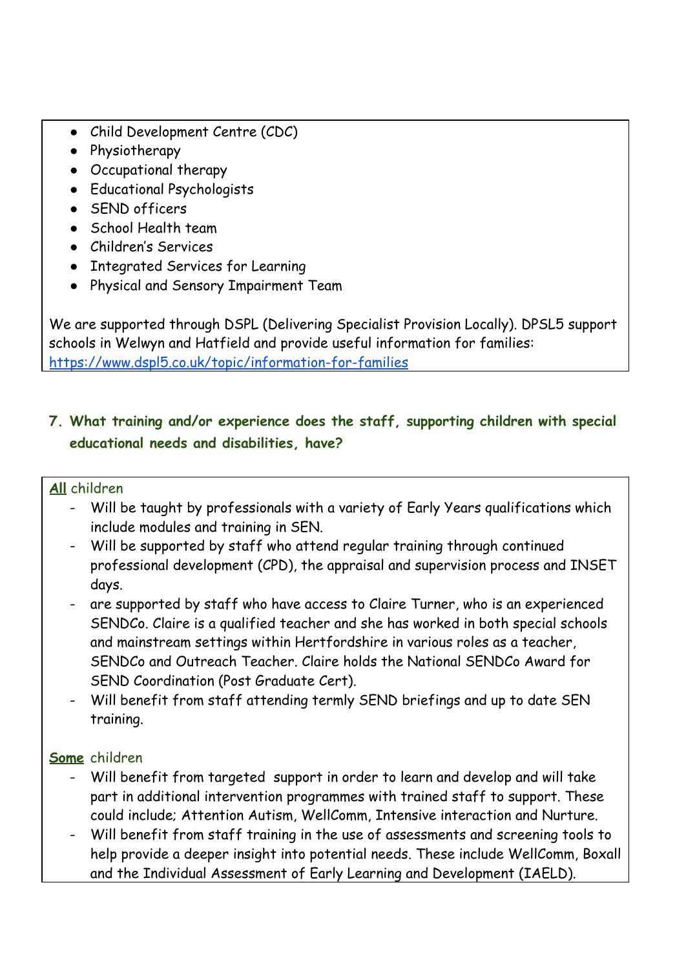- Child Development Centre (CDC)
- Physiotherapy
- Occupational therapy
- Educational Psychologists
- SEND officers
- School Health team
- Children's Services
- Integrated Services for Learning
- Physical and Sensory Impairment Team

We are supported through DSPL (Delivering Specialist Provision Locally). DPSL5 support schools in Welwyn and Hatfield and provide useful information for families: <https://www.dspl5.co.uk/topic/information-for-families>

# **7. What training and/or experience does the staff, supporting children with special educational needs and disabilities, have?**

## **All** children

- Will be taught by professionals with a variety of Early Years qualifications which include modules and training in SEN.
- Will be supported by staff who attend regular training through continued professional development (CPD), the appraisal and supervision process and INSET days.
- are supported by staff who have access to Claire Turner, who is an experienced SENDCo. Claire is a qualified teacher and she has worked in both special schools and mainstream settings within Hertfordshire in various roles as a teacher, SENDCo and Outreach Teacher. Claire holds the National SENDCo Award for SEND Coordination (Post Graduate Cert).
- Will benefit from staff attending termly SEND briefings and up to date SEN training.

# **Some** children

- Will benefit from targeted support in order to learn and develop and will take part in additional intervention programmes with trained staff to support. These could include; Attention Autism, WellComm, Intensive interaction and Nurture.
- Will benefit from staff training in the use of assessments and screening tools to help provide a deeper insight into potential needs. These include WellComm, Boxall and the Individual Assessment of Early Learning and Development (IAELD).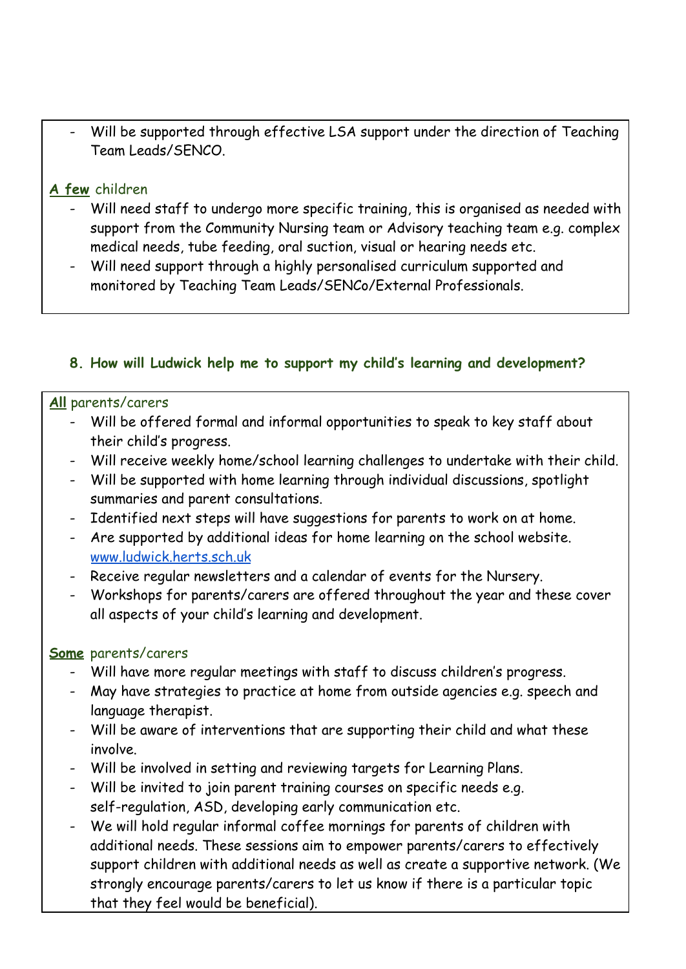Will be supported through effective LSA support under the direction of Teaching Team Leads/SENCO.

## **A few** children

- Will need staff to undergo more specific training, this is organised as needed with support from the Community Nursing team or Advisory teaching team e.g. complex medical needs, tube feeding, oral suction, visual or hearing needs etc.
- Will need support through a highly personalised curriculum supported and monitored by Teaching Team Leads/SENCo/External Professionals.

### **8. How will Ludwick help me to support my child's learning and development?**

#### **All** parents/carers

- Will be offered formal and informal opportunities to speak to key staff about their child's progress.
- Will receive weekly home/school learning challenges to undertake with their child.
- Will be supported with home learning through individual discussions, spotlight summaries and parent consultations.
- Identified next steps will have suggestions for parents to work on at home.
- Are supported by additional ideas for home learning on the school website. [www.ludwick.herts.sch.uk](http://www.ludwick.herts.sch.uk)
- Receive regular newsletters and a calendar of events for the Nursery.
- Workshops for parents/carers are offered throughout the year and these cover all aspects of your child's learning and development.

### **Some** parents/carers

- Will have more regular meetings with staff to discuss children's progress.
- May have strategies to practice at home from outside agencies e.g. speech and language therapist.
- Will be aware of interventions that are supporting their child and what these involve.
- Will be involved in setting and reviewing targets for Learning Plans.
- Will be invited to join parent training courses on specific needs e.g. self-regulation, ASD, developing early communication etc.
- We will hold regular informal coffee mornings for parents of children with additional needs. These sessions aim to empower parents/carers to effectively support children with additional needs as well as create a supportive network. (We strongly encourage parents/carers to let us know if there is a particular topic that they feel would be beneficial).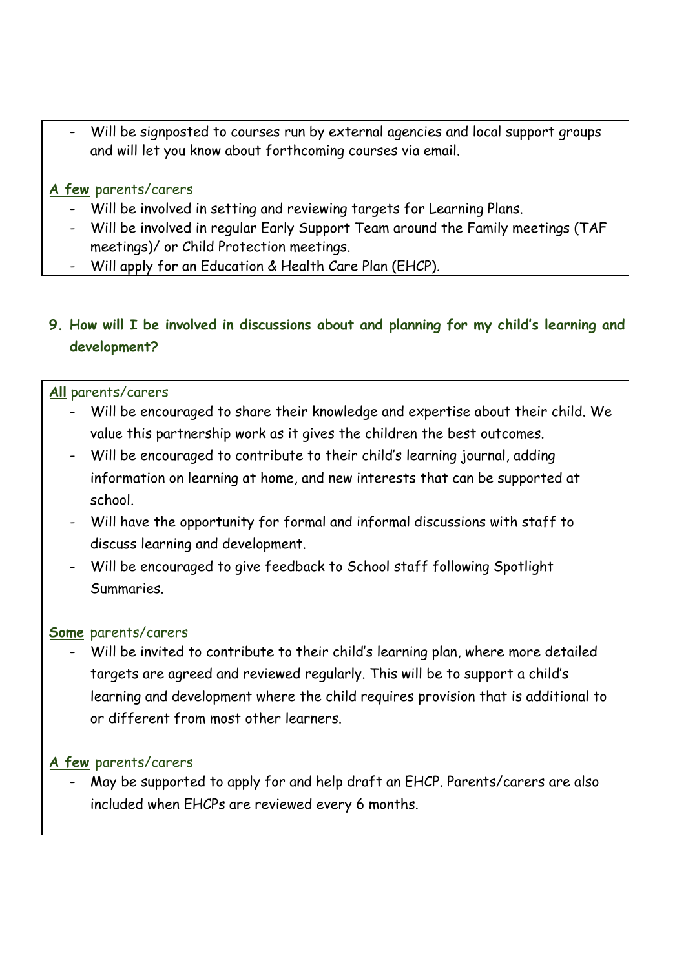Will be signposted to courses run by external agencies and local support groups and will let you know about forthcoming courses via email.

## **A few** parents/carers

- Will be involved in setting and reviewing targets for Learning Plans.
- Will be involved in regular Early Support Team around the Family meetings (TAF meetings)/ or Child Protection meetings.
- Will apply for an Education & Health Care Plan (EHCP).

# **9. How will I be involved in discussions about and planning for my child's learning and development?**

#### **All** parents/carers

- Will be encouraged to share their knowledge and expertise about their child. We value this partnership work as it gives the children the best outcomes.
- Will be encouraged to contribute to their child's learning journal, adding information on learning at home, and new interests that can be supported at school.
- Will have the opportunity for formal and informal discussions with staff to discuss learning and development.
- Will be encouraged to give feedback to School staff following Spotlight Summaries.

#### **Some** parents/carers

Will be invited to contribute to their child's learning plan, where more detailed targets are agreed and reviewed regularly. This will be to support a child's learning and development where the child requires provision that is additional to or different from most other learners.

#### **A few** parents/carers

May be supported to apply for and help draft an EHCP. Parents/carers are also included when EHCPs are reviewed every 6 months.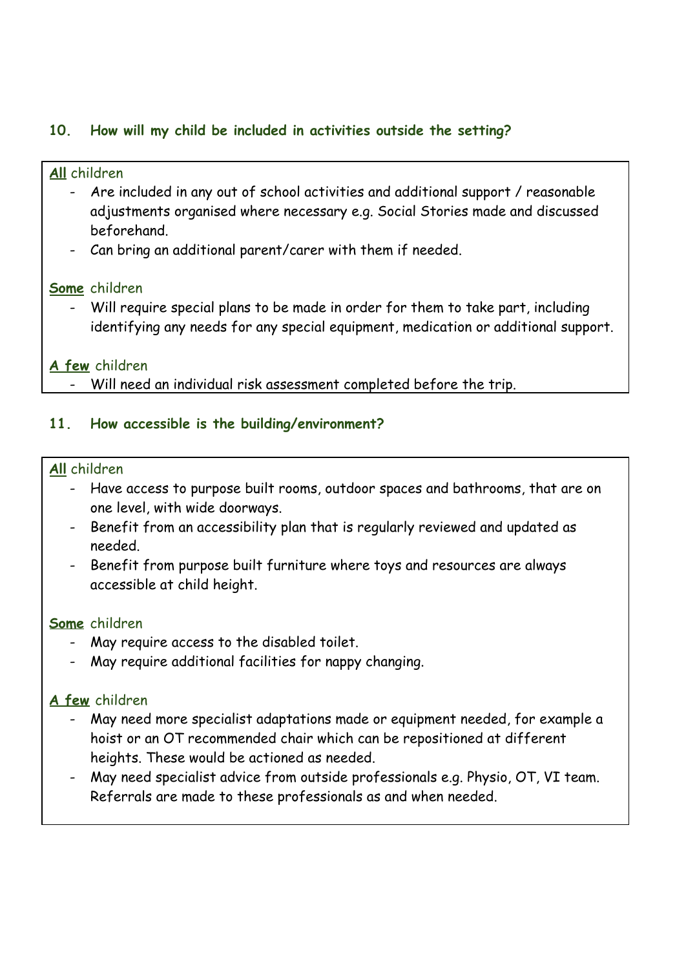## **10. How will my child be included in activities outside the setting?**

#### **All** children

- Are included in any out of school activities and additional support / reasonable adjustments organised where necessary e.g. Social Stories made and discussed beforehand.
- Can bring an additional parent/carer with them if needed.

### **Some** children

- Will require special plans to be made in order for them to take part, including identifying any needs for any special equipment, medication or additional support.

#### **A few** children

- Will need an individual risk assessment completed before the trip.

#### **11. How accessible is the building/environment?**

#### **All** children

- Have access to purpose built rooms, outdoor spaces and bathrooms, that are on one level, with wide doorways.
- Benefit from an accessibility plan that is regularly reviewed and updated as needed.
- Benefit from purpose built furniture where toys and resources are always accessible at child height.

#### **Some** children

- May require access to the disabled toilet.
- May require additional facilities for nappy changing.

- May need more specialist adaptations made or equipment needed, for example a hoist or an OT recommended chair which can be repositioned at different heights. These would be actioned as needed.
- May need specialist advice from outside professionals e.g. Physio, OT, VI team. Referrals are made to these professionals as and when needed.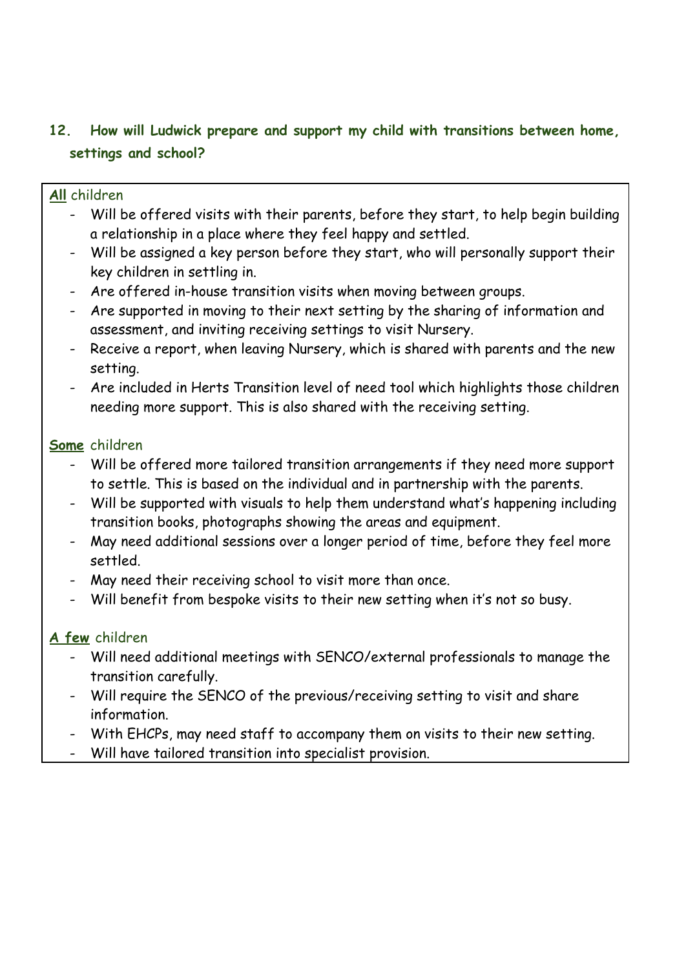# **12. How will Ludwick prepare and support my child with transitions between home, settings and school?**

### **All** children

- Will be offered visits with their parents, before they start, to help begin building a relationship in a place where they feel happy and settled.
- Will be assigned a key person before they start, who will personally support their key children in settling in.
- Are offered in-house transition visits when moving between groups.
- Are supported in moving to their next setting by the sharing of information and assessment, and inviting receiving settings to visit Nursery.
- Receive a report, when leaving Nursery, which is shared with parents and the new setting.
- Are included in Herts Transition level of need tool which highlights those children needing more support. This is also shared with the receiving setting.

#### **Some** children

- Will be offered more tailored transition arrangements if they need more support to settle. This is based on the individual and in partnership with the parents.
- Will be supported with visuals to help them understand what's happening including transition books, photographs showing the areas and equipment.
- May need additional sessions over a longer period of time, before they feel more settled.
- May need their receiving school to visit more than once.
- Will benefit from bespoke visits to their new setting when it's not so busy.

- Will need additional meetings with SENCO/external professionals to manage the transition carefully.
- Will require the SENCO of the previous/receiving setting to visit and share information.
- With EHCPs, may need staff to accompany them on visits to their new setting.
- Will have tailored transition into specialist provision.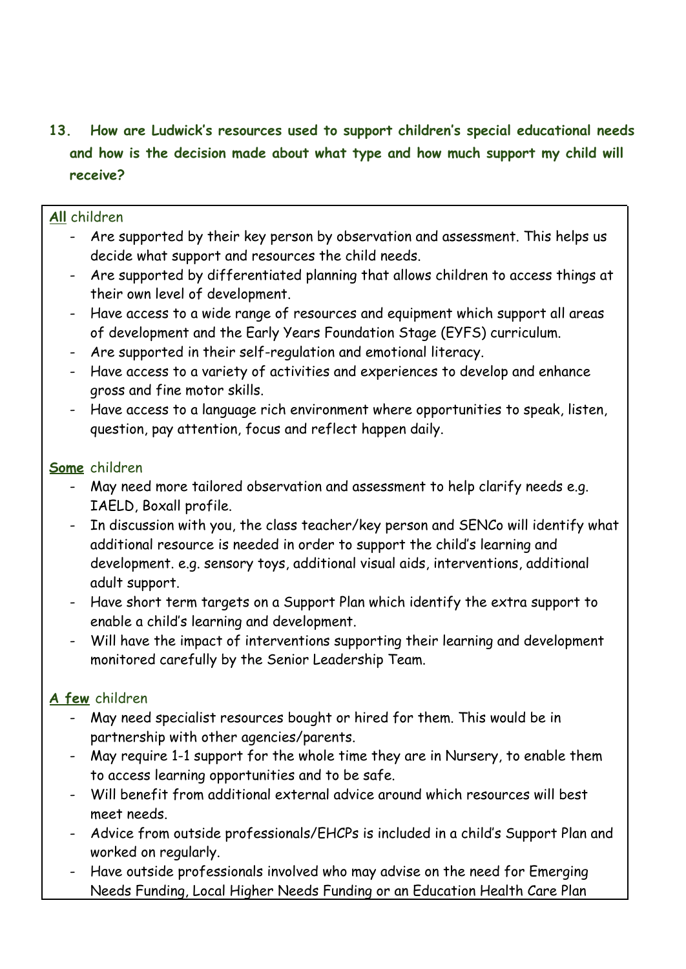# **13. How are Ludwick's resources used to support children's special educational needs and how is the decision made about what type and how much support my child will receive?**

#### **All** children

- Are supported by their key person by observation and assessment. This helps us decide what support and resources the child needs.
- Are supported by differentiated planning that allows children to access things at their own level of development.
- Have access to a wide range of resources and equipment which support all areas of development and the Early Years Foundation Stage (EYFS) curriculum.
- Are supported in their self-regulation and emotional literacy.
- Have access to a variety of activities and experiences to develop and enhance gross and fine motor skills.
- Have access to a language rich environment where opportunities to speak, listen, question, pay attention, focus and reflect happen daily.

### **Some** children

- May need more tailored observation and assessment to help clarify needs e.g. IAELD, Boxall profile.
- In discussion with you, the class teacher/key person and SENCo will identify what additional resource is needed in order to support the child's learning and development. e.g. sensory toys, additional visual aids, interventions, additional adult support.
- Have short term targets on a Support Plan which identify the extra support to enable a child's learning and development.
- Will have the impact of interventions supporting their learning and development monitored carefully by the Senior Leadership Team.

- May need specialist resources bought or hired for them. This would be in partnership with other agencies/parents.
- May require 1-1 support for the whole time they are in Nursery, to enable them to access learning opportunities and to be safe.
- Will benefit from additional external advice around which resources will best meet needs.
- Advice from outside professionals/EHCPs is included in a child's Support Plan and worked on regularly.
- Have outside professionals involved who may advise on the need for Emerging Needs Funding, Local Higher Needs Funding or an Education Health Care Plan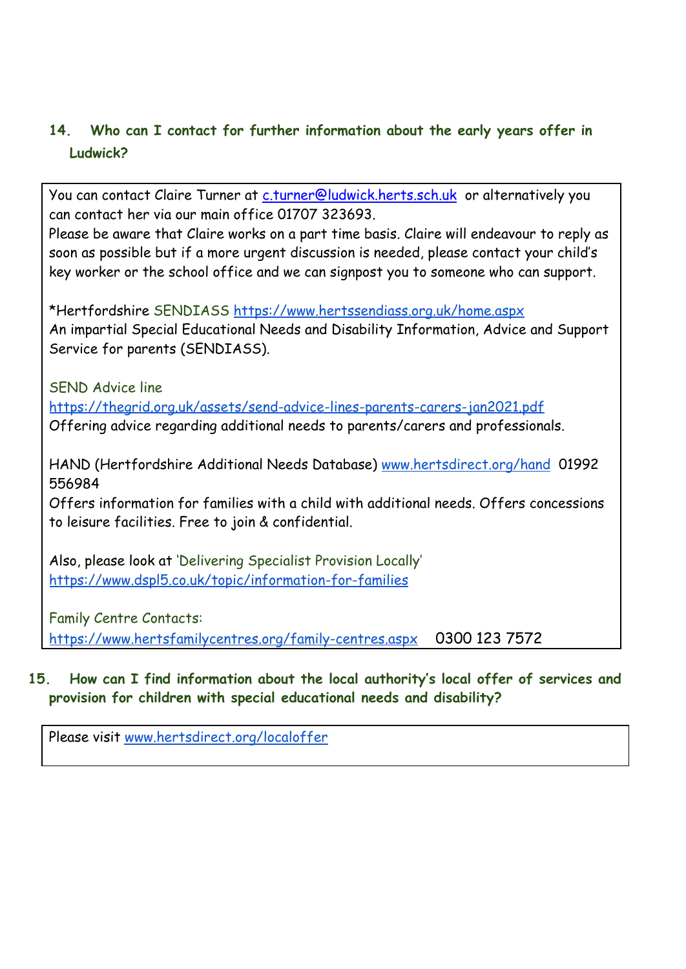# **14. Who can I contact for further information about the early years offer in Ludwick?**

You can contact Claire Turner at [c.turner@ludwick.herts.sch.uk](mailto:c.turner@ludwick.herts.sch.uk) or alternatively you can contact her via our main office 01707 323693. Please be aware that Claire works on a part time basis. Claire will endeavour to reply as soon as possible but if a more urgent discussion is needed, please contact your child's key worker or the school office and we can signpost you to someone who can support.

\*Hertfordshire SENDIASS <https://www.hertssendiass.org.uk/home.aspx> An impartial Special Educational Needs and Disability Information, Advice and Support Service for parents (SENDIASS).

SEND Advice line <https://thegrid.org.uk/assets/send-advice-lines-parents-carers-jan2021.pdf> Offering advice regarding additional needs to parents/carers and professionals.

HAND (Hertfordshire Additional Needs Database) [www.hertsdirect.org/hand](http://www.hertsdirect.org/hand) 01992 556984

Offers information for families with a child with additional needs. Offers concessions to leisure facilities. Free to join & confidential.

Also, please look at 'Delivering Specialist Provision Locally' <https://www.dspl5.co.uk/topic/information-for-families>

Family Centre Contacts:

<https://www.hertsfamilycentres.org/family-centres.aspx> 0300 123 7572

# **15. How can I find information about the local authority's local offer of services and provision for children with special educational needs and disability?**

Please visit [www.hertsdirect.org/localoffer](http://www.hertsdirect.org/localoffer)